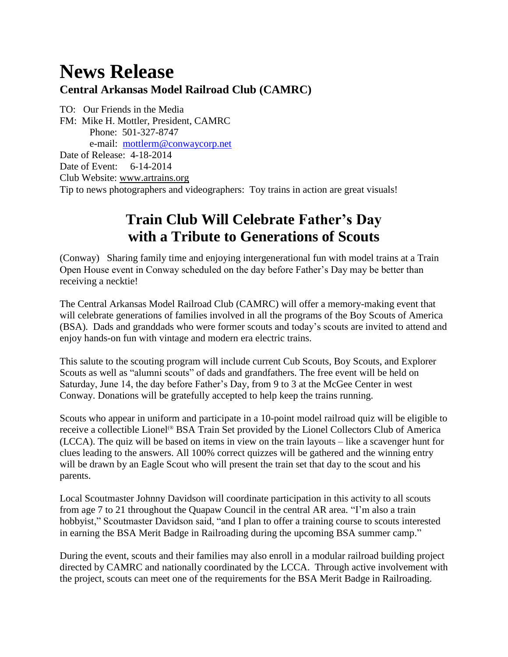## **News Release**

## **Central Arkansas Model Railroad Club (CAMRC)**

TO: Our Friends in the Media FM: Mike H. Mottler, President, CAMRC Phone: 501-327-8747 e-mail: [mottlerm@conwaycorp.net](mailto:mottlerm@conwaycorp.net) Date of Release: 4-18-2014 Date of Event: 6-14-2014 Club Website: [www.artrains.org](http://www.artrains.org/) Tip to news photographers and videographers: Toy trains in action are great visuals!

## **Train Club Will Celebrate Father's Day with a Tribute to Generations of Scouts**

(Conway) Sharing family time and enjoying intergenerational fun with model trains at a Train Open House event in Conway scheduled on the day before Father's Day may be better than receiving a necktie!

The Central Arkansas Model Railroad Club (CAMRC) will offer a memory-making event that will celebrate generations of families involved in all the programs of the Boy Scouts of America (BSA). Dads and granddads who were former scouts and today's scouts are invited to attend and enjoy hands-on fun with vintage and modern era electric trains.

This salute to the scouting program will include current Cub Scouts, Boy Scouts, and Explorer Scouts as well as "alumni scouts" of dads and grandfathers. The free event will be held on Saturday, June 14, the day before Father's Day, from 9 to 3 at the McGee Center in west Conway. Donations will be gratefully accepted to help keep the trains running.

Scouts who appear in uniform and participate in a 10-point model railroad quiz will be eligible to receive a collectible Lionel<sup>®</sup> BSA Train Set provided by the Lionel Collectors Club of America (LCCA). The quiz will be based on items in view on the train layouts – like a scavenger hunt for clues leading to the answers. All 100% correct quizzes will be gathered and the winning entry will be drawn by an Eagle Scout who will present the train set that day to the scout and his parents.

Local Scoutmaster Johnny Davidson will coordinate participation in this activity to all scouts from age 7 to 21 throughout the Quapaw Council in the central AR area. "I'm also a train hobbyist," Scoutmaster Davidson said, "and I plan to offer a training course to scouts interested in earning the BSA Merit Badge in Railroading during the upcoming BSA summer camp."

During the event, scouts and their families may also enroll in a modular railroad building project directed by CAMRC and nationally coordinated by the LCCA. Through active involvement with the project, scouts can meet one of the requirements for the BSA Merit Badge in Railroading.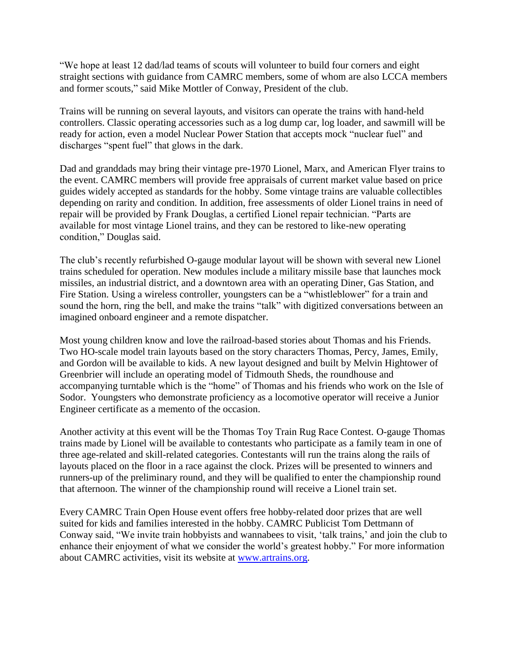"We hope at least 12 dad/lad teams of scouts will volunteer to build four corners and eight straight sections with guidance from CAMRC members, some of whom are also LCCA members and former scouts," said Mike Mottler of Conway, President of the club.

Trains will be running on several layouts, and visitors can operate the trains with hand-held controllers. Classic operating accessories such as a log dump car, log loader, and sawmill will be ready for action, even a model Nuclear Power Station that accepts mock "nuclear fuel" and discharges "spent fuel" that glows in the dark.

Dad and granddads may bring their vintage pre-1970 Lionel, Marx, and American Flyer trains to the event. CAMRC members will provide free appraisals of current market value based on price guides widely accepted as standards for the hobby. Some vintage trains are valuable collectibles depending on rarity and condition. In addition, free assessments of older Lionel trains in need of repair will be provided by Frank Douglas, a certified Lionel repair technician. "Parts are available for most vintage Lionel trains, and they can be restored to like-new operating condition," Douglas said.

The club's recently refurbished O-gauge modular layout will be shown with several new Lionel trains scheduled for operation. New modules include a military missile base that launches mock missiles, an industrial district, and a downtown area with an operating Diner, Gas Station, and Fire Station. Using a wireless controller, youngsters can be a "whistleblower" for a train and sound the horn, ring the bell, and make the trains "talk" with digitized conversations between an imagined onboard engineer and a remote dispatcher.

Most young children know and love the railroad-based stories about Thomas and his Friends. Two HO-scale model train layouts based on the story characters Thomas, Percy, James, Emily, and Gordon will be available to kids. A new layout designed and built by Melvin Hightower of Greenbrier will include an operating model of Tidmouth Sheds, the roundhouse and accompanying turntable which is the "home" of Thomas and his friends who work on the Isle of Sodor. Youngsters who demonstrate proficiency as a locomotive operator will receive a Junior Engineer certificate as a memento of the occasion.

Another activity at this event will be the Thomas Toy Train Rug Race Contest. O-gauge Thomas trains made by Lionel will be available to contestants who participate as a family team in one of three age-related and skill-related categories. Contestants will run the trains along the rails of layouts placed on the floor in a race against the clock. Prizes will be presented to winners and runners-up of the preliminary round, and they will be qualified to enter the championship round that afternoon. The winner of the championship round will receive a Lionel train set.

Every CAMRC Train Open House event offers free hobby-related door prizes that are well suited for kids and families interested in the hobby. CAMRC Publicist Tom Dettmann of Conway said, "We invite train hobbyists and wannabees to visit, 'talk trains,' and join the club to enhance their enjoyment of what we consider the world's greatest hobby." For more information about CAMRC activities, visit its website at [www.artrains.org.](http://www.artrains.org/)